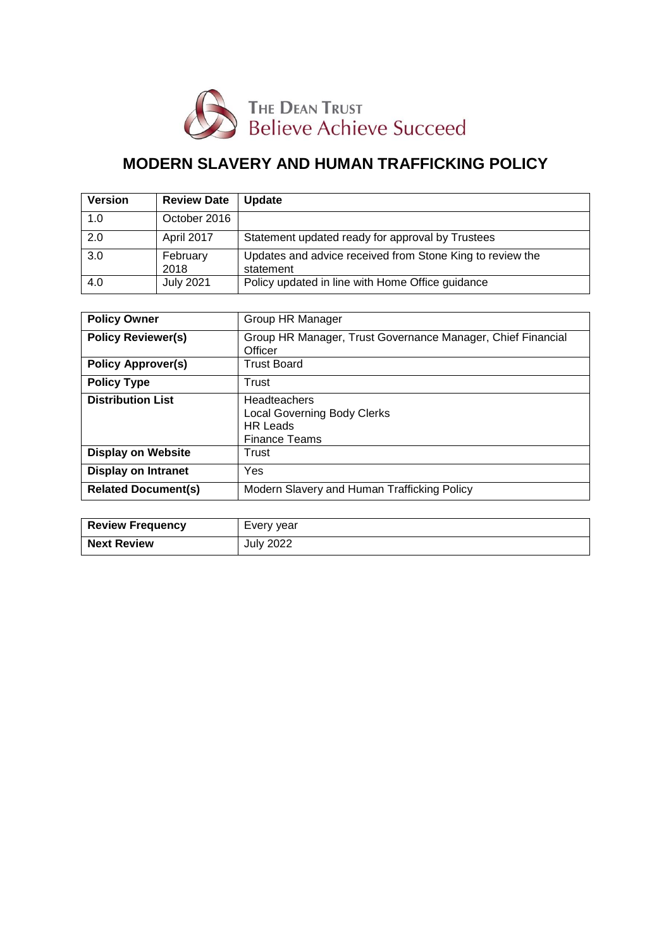

# **MODERN SLAVERY AND HUMAN TRAFFICKING POLICY**

| <b>Version</b> | <b>Review Date</b> | <b>Update</b>                                                          |
|----------------|--------------------|------------------------------------------------------------------------|
| 1.0            | October 2016       |                                                                        |
| 2.0            | April 2017         | Statement updated ready for approval by Trustees                       |
| 3.0            | February<br>2018   | Updates and advice received from Stone King to review the<br>statement |
| 4.0            | <b>July 2021</b>   | Policy updated in line with Home Office guidance                       |

| <b>Policy Owner</b>        | Group HR Manager                                            |
|----------------------------|-------------------------------------------------------------|
|                            |                                                             |
| <b>Policy Reviewer(s)</b>  | Group HR Manager, Trust Governance Manager, Chief Financial |
|                            |                                                             |
|                            | Officer                                                     |
| <b>Policy Approver(s)</b>  | <b>Trust Board</b>                                          |
|                            |                                                             |
| <b>Policy Type</b>         | Trust                                                       |
|                            |                                                             |
| <b>Distribution List</b>   | Headteachers                                                |
|                            | <b>Local Governing Body Clerks</b>                          |
|                            |                                                             |
|                            | <b>HR</b> Leads                                             |
|                            | <b>Finance Teams</b>                                        |
| <b>Display on Website</b>  | Trust                                                       |
|                            |                                                             |
| <b>Display on Intranet</b> | Yes                                                         |
|                            |                                                             |
| <b>Related Document(s)</b> | Modern Slavery and Human Trafficking Policy                 |
|                            |                                                             |
|                            |                                                             |

| <b>Review Frequency</b> | Every year |
|-------------------------|------------|
| <b>Next Review</b>      | July 2022  |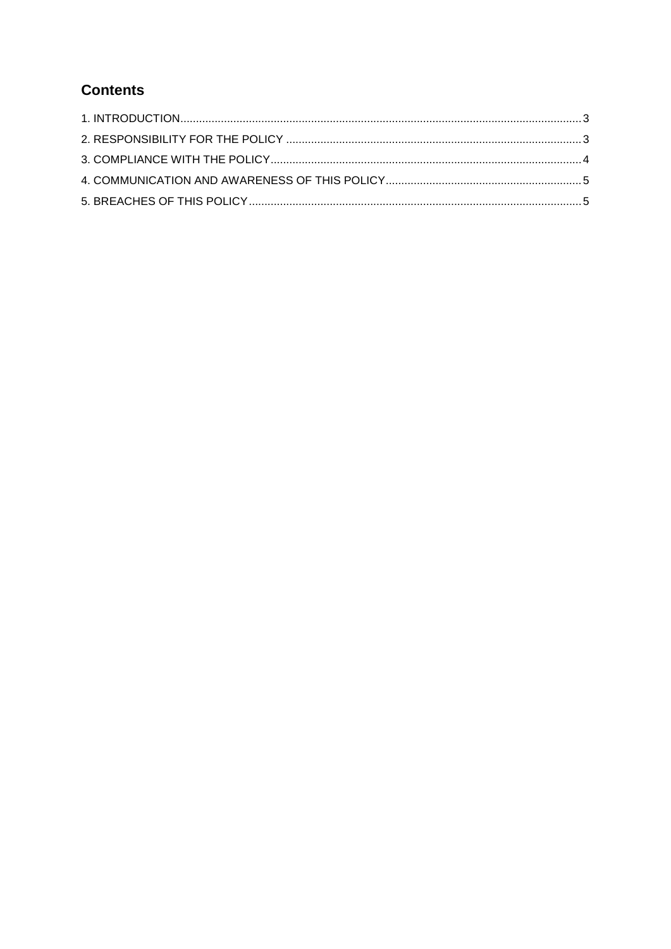## **Contents**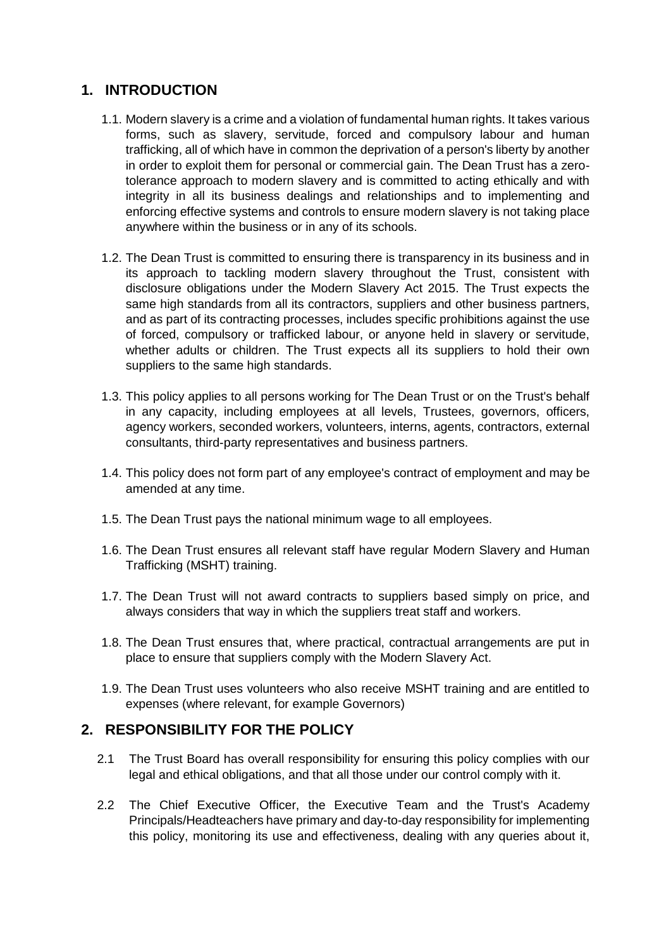### <span id="page-2-0"></span>**1. INTRODUCTION**

- 1.1. Modern slavery is a crime and a violation of fundamental human rights. It takes various forms, such as slavery, servitude, forced and compulsory labour and human trafficking, all of which have in common the deprivation of a person's liberty by another in order to exploit them for personal or commercial gain. The Dean Trust has a zerotolerance approach to modern slavery and is committed to acting ethically and with integrity in all its business dealings and relationships and to implementing and enforcing effective systems and controls to ensure modern slavery is not taking place anywhere within the business or in any of its schools.
- 1.2. The Dean Trust is committed to ensuring there is transparency in its business and in its approach to tackling modern slavery throughout the Trust, consistent with disclosure obligations under the Modern Slavery Act 2015. The Trust expects the same high standards from all its contractors, suppliers and other business partners, and as part of its contracting processes, includes specific prohibitions against the use of forced, compulsory or trafficked labour, or anyone held in slavery or servitude, whether adults or children. The Trust expects all its suppliers to hold their own suppliers to the same high standards.
- 1.3. This policy applies to all persons working for The Dean Trust or on the Trust's behalf in any capacity, including employees at all levels, Trustees, governors, officers, agency workers, seconded workers, volunteers, interns, agents, contractors, external consultants, third-party representatives and business partners.
- 1.4. This policy does not form part of any employee's contract of employment and may be amended at any time.
- 1.5. The Dean Trust pays the national minimum wage to all employees.
- 1.6. The Dean Trust ensures all relevant staff have regular Modern Slavery and Human Trafficking (MSHT) training.
- 1.7. The Dean Trust will not award contracts to suppliers based simply on price, and always considers that way in which the suppliers treat staff and workers.
- 1.8. The Dean Trust ensures that, where practical, contractual arrangements are put in place to ensure that suppliers comply with the Modern Slavery Act.
- 1.9. The Dean Trust uses volunteers who also receive MSHT training and are entitled to expenses (where relevant, for example Governors)

#### <span id="page-2-1"></span>**2. RESPONSIBILITY FOR THE POLICY**

- 2.1 The Trust Board has overall responsibility for ensuring this policy complies with our legal and ethical obligations, and that all those under our control comply with it.
- 2.2 The Chief Executive Officer, the Executive Team and the Trust's Academy Principals/Headteachers have primary and day-to-day responsibility for implementing this policy, monitoring its use and effectiveness, dealing with any queries about it,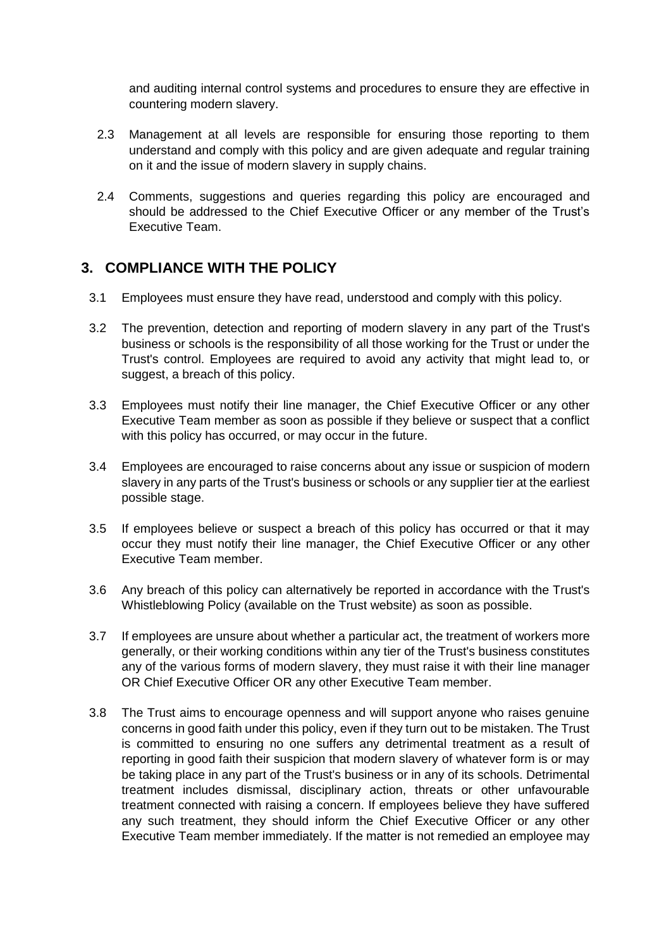and auditing internal control systems and procedures to ensure they are effective in countering modern slavery.

- 2.3 Management at all levels are responsible for ensuring those reporting to them understand and comply with this policy and are given adequate and regular training on it and the issue of modern slavery in supply chains.
- 2.4 Comments, suggestions and queries regarding this policy are encouraged and should be addressed to the Chief Executive Officer or any member of the Trust's Executive Team.

#### <span id="page-3-0"></span>**3. COMPLIANCE WITH THE POLICY**

- 3.1 Employees must ensure they have read, understood and comply with this policy.
- 3.2 The prevention, detection and reporting of modern slavery in any part of the Trust's business or schools is the responsibility of all those working for the Trust or under the Trust's control. Employees are required to avoid any activity that might lead to, or suggest, a breach of this policy.
- 3.3 Employees must notify their line manager, the Chief Executive Officer or any other Executive Team member as soon as possible if they believe or suspect that a conflict with this policy has occurred, or may occur in the future.
- 3.4 Employees are encouraged to raise concerns about any issue or suspicion of modern slavery in any parts of the Trust's business or schools or any supplier tier at the earliest possible stage.
- 3.5 If employees believe or suspect a breach of this policy has occurred or that it may occur they must notify their line manager, the Chief Executive Officer or any other Executive Team member.
- 3.6 Any breach of this policy can alternatively be reported in accordance with the Trust's Whistleblowing Policy (available on the Trust website) as soon as possible.
- 3.7 If employees are unsure about whether a particular act, the treatment of workers more generally, or their working conditions within any tier of the Trust's business constitutes any of the various forms of modern slavery, they must raise it with their line manager OR Chief Executive Officer OR any other Executive Team member.
- 3.8 The Trust aims to encourage openness and will support anyone who raises genuine concerns in good faith under this policy, even if they turn out to be mistaken. The Trust is committed to ensuring no one suffers any detrimental treatment as a result of reporting in good faith their suspicion that modern slavery of whatever form is or may be taking place in any part of the Trust's business or in any of its schools. Detrimental treatment includes dismissal, disciplinary action, threats or other unfavourable treatment connected with raising a concern. If employees believe they have suffered any such treatment, they should inform the Chief Executive Officer or any other Executive Team member immediately. If the matter is not remedied an employee may